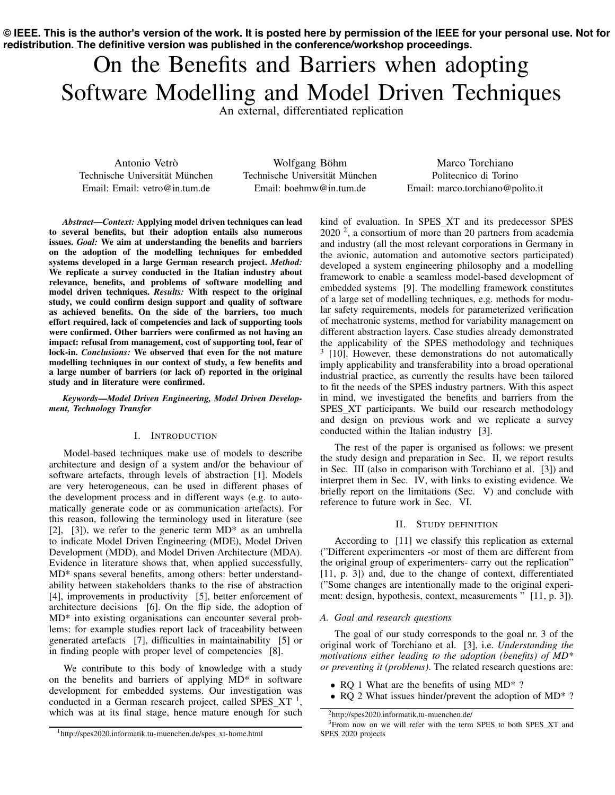**© IEEE. This is the author's version of the work. It is posted here by permission of the IEEE for your personal use. Not for redistribution. The definitive version was published in the conference/workshop proceedings.**

# On the Benefits and Barriers when adopting Software Modelling and Model Driven Techniques

An external, differentiated replication

Antonio Vetrò Technische Universität München Email: Email: vetro@in.tum.de

Wolfgang Böhm Technische Universität München Email: boehmw@in.tum.de

Marco Torchiano Politecnico di Torino Email: marco.torchiano@polito.it

*Abstract*—*Context:* Applying model driven techniques can lead to several benefits, but their adoption entails also numerous issues. *Goal:* We aim at understanding the benefits and barriers on the adoption of the modelling techniques for embedded systems developed in a large German research project. *Method:* We replicate a survey conducted in the Italian industry about relevance, benefits, and problems of software modelling and model driven techniques. *Results:* With respect to the original study, we could confirm design support and quality of software as achieved benefits. On the side of the barriers, too much effort required, lack of competencies and lack of supporting tools were confirmed. Other barriers were confirmed as not having an impact: refusal from management, cost of supporting tool, fear of lock-in. *Conclusions:* We observed that even for the not mature modelling techniques in our context of study, a few benefits and a large number of barriers (or lack of) reported in the original study and in literature were confirmed.

*Keywords*—*Model Driven Engineering, Model Driven Development, Technology Transfer*

# I. INTRODUCTION

Model-based techniques make use of models to describe architecture and design of a system and/or the behaviour of software artefacts, through levels of abstraction [\[1\]](#page-3-0). Models are very heterogeneous, can be used in different phases of the development process and in different ways (e.g. to automatically generate code or as communication artefacts). For this reason, following the terminology used in literature (see [\[2\]](#page-3-1), [\[3\]](#page-3-2)), we refer to the generic term MD\* as an umbrella to indicate Model Driven Engineering (MDE), Model Driven Development (MDD), and Model Driven Architecture (MDA). Evidence in literature shows that, when applied successfully, MD\* spans several benefits, among others: better understandability between stakeholders thanks to the rise of abstraction [\[4\]](#page-3-3), improvements in productivity [\[5\]](#page-3-4), better enforcement of architecture decisions [\[6\]](#page-3-5). On the flip side, the adoption of MD\* into existing organisations can encounter several problems: for example studies report lack of traceability between generated artefacts [\[7\]](#page-3-6), difficulties in maintainability [\[5\]](#page-3-4) or in finding people with proper level of competencies [\[8\]](#page-3-7).

We contribute to this body of knowledge with a study on the benefits and barriers of applying MD\* in software development for embedded systems. Our investigation was conducted in a German research project, called SPES\_XT $^{-1}$ , which was at its final stage, hence mature enough for such kind of evaluation. In SPES XT and its predecessor SPES  $2020<sup>2</sup>$ , a consortium of more than 20 partners from academia and industry (all the most relevant corporations in Germany in the avionic, automation and automotive sectors participated) developed a system engineering philosophy and a modelling framework to enable a seamless model-based development of embedded systems [\[9\]](#page-3-8). The modelling framework constitutes of a large set of modelling techniques, e.g. methods for modular safety requirements, models for parameterized verification of mechatronic systems, method for variability management on different abstraction layers. Case studies already demonstrated the applicability of the SPES methodology and techniques  $3$  [\[10\]](#page-3-9). However, these demonstrations do not automatically imply applicability and transferability into a broad operational industrial practice, as currently the results have been tailored to fit the needs of the SPES industry partners. With this aspect in mind, we investigated the benefits and barriers from the SPES\_XT participants. We build our research methodology and design on previous work and we replicate a survey conducted within the Italian industry [\[3\]](#page-3-2).

The rest of the paper is organised as follows: we present the study design and preparation in Sec. [II,](#page-0-3) we report results in Sec. [III](#page-1-0) (also in comparison with Torchiano et al. [\[3\]](#page-3-2)) and interpret them in Sec. [IV,](#page-1-1) with links to existing evidence. We briefly report on the limitations (Sec. [V\)](#page-3-10) and conclude with reference to future work in Sec. [VI.](#page-3-11)

## II. STUDY DEFINITION

<span id="page-0-3"></span>According to [\[11\]](#page-3-12) we classify this replication as external ("Different experimenters -or most of them are different from the original group of experimenters- carry out the replication" [\[11,](#page-3-12) p. 3]) and, due to the change of context, differentiated ("Some changes are intentionally made to the original experi-ment: design, hypothesis, context, measurements " [\[11,](#page-3-12) p. 3]).

## *A. Goal and research questions*

The goal of our study corresponds to the goal nr. 3 of the original work of Torchiano et al. [\[3\]](#page-3-2), i.e. *Understanding the motivations either leading to the adoption (benefits) of MD\* or preventing it (problems)*. The related research questions are:

- RQ 1 What are the benefits of using MD<sup>\*</sup> ?
- *•* RQ 2 What issues hinder/prevent the adoption of MD\* ?

<span id="page-0-2"></span><span id="page-0-1"></span>[<sup>2</sup>http://spes2020.informatik.tu-muenchen.de/](http://spes2020.informatik.tu-muenchen.de/)

<sup>&</sup>lt;sup>3</sup>From now on we will refer with the term SPES to both SPES\_XT and SPES 2020 projects

<span id="page-0-0"></span><sup>&</sup>lt;sup>1</sup>http://spes2020.informatik.tu-muenchen.de/spes\_xt-home.html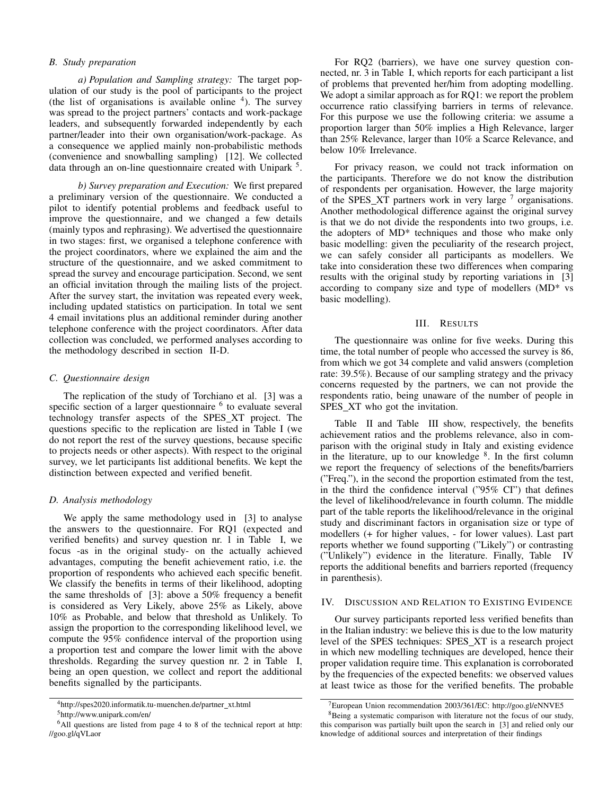# *B. Study preparation*

*a) Population and Sampling strategy:* The target population of our study is the pool of participants to the project (the list of organisations is available online  $4$ ). The survey was spread to the project partners' contacts and work-package leaders, and subsequently forwarded independently by each partner/leader into their own organisation/work-package. As a consequence we applied mainly non-probabilistic methods (convenience and snowballing sampling) [\[12\]](#page-3-13). We collected data through an on-line questionnaire created with Unipark  $<sup>5</sup>$ .</sup>

*b) Survey preparation and Execution:* We first prepared a preliminary version of the questionnaire. We conducted a pilot to identify potential problems and feedback useful to improve the questionnaire, and we changed a few details (mainly typos and rephrasing). We advertised the questionnaire in two stages: first, we organised a telephone conference with the project coordinators, where we explained the aim and the structure of the questionnaire, and we asked commitment to spread the survey and encourage participation. Second, we sent an official invitation through the mailing lists of the project. After the survey start, the invitation was repeated every week, including updated statistics on participation. In total we sent 4 email invitations plus an additional reminder during another telephone conference with the project coordinators. After data collection was concluded, we performed analyses according to the methodology described in section [II-D.](#page-1-4)

# *C. Questionnaire design*

The replication of the study of Torchiano et al. [\[3\]](#page-3-2) was a specific section of a larger questionnaire  $<sup>6</sup>$  $<sup>6</sup>$  $<sup>6</sup>$  to evaluate several</sup> technology transfer aspects of the SPES XT project. The questions specific to the replication are listed in Table [I](#page-2-0) (we do not report the rest of the survey questions, because specific to projects needs or other aspects). With respect to the original survey, we let participants list additional benefits. We kept the distinction between expected and verified benefit.

## <span id="page-1-4"></span>*D. Analysis methodology*

We apply the same methodology used in [\[3\]](#page-3-2) to analyse the answers to the questionnaire. For RQ1 (expected and verified benefits) and survey question nr. 1 in Table [I,](#page-2-0) we focus -as in the original study- on the actually achieved advantages, computing the benefit achievement ratio, i.e. the proportion of respondents who achieved each specific benefit. We classify the benefits in terms of their likelihood, adopting the same thresholds of [\[3\]](#page-3-2): above a 50% frequency a benefit is considered as Very Likely, above 25% as Likely, above 10% as Probable, and below that threshold as Unlikely. To assign the proportion to the corresponding likelihood level, we compute the 95% confidence interval of the proportion using a proportion test and compare the lower limit with the above thresholds. Regarding the survey question nr. 2 in Table [I,](#page-2-0) being an open question, we collect and report the additional benefits signalled by the participants.

For RQ2 (barriers), we have one survey question connected, nr. 3 in Table [I,](#page-2-0) which reports for each participant a list of problems that prevented her/him from adopting modelling. We adopt a similar approach as for RQ1: we report the problem occurrence ratio classifying barriers in terms of relevance. For this purpose we use the following criteria: we assume a proportion larger than 50% implies a High Relevance, larger than 25% Relevance, larger than 10% a Scarce Relevance, and below 10% Irrelevance.

For privacy reason, we could not track information on the participants. Therefore we do not know the distribution of respondents per organisation. However, the large majority of the SPES XT partners work in very large [7](#page-1-6) organisations. Another methodological difference against the original survey is that we do not divide the respondents into two groups, i.e. the adopters of MD\* techniques and those who make only basic modelling: given the peculiarity of the research project, we can safely consider all participants as modellers. We take into consideration these two differences when comparing results with the original study by reporting variations in [\[3\]](#page-3-2) according to company size and type of modellers (MD\* vs basic modelling).

#### III. RESULTS

<span id="page-1-0"></span>The questionnaire was online for five weeks. During this time, the total number of people who accessed the survey is 86, from which we got 34 complete and valid answers (completion rate: 39.5%). Because of our sampling strategy and the privacy concerns requested by the partners, we can not provide the respondents ratio, being unaware of the number of people in SPES\_XT who got the invitation.

Table [II](#page-2-1) and Table [III](#page-2-2) show, respectively, the benefits achievement ratios and the problems relevance, also in comparison with the original study in Italy and existing evidence in the literature, up to our knowledge  $8$ . In the first column we report the frequency of selections of the benefits/barriers ("Freq."), in the second the proportion estimated from the test, in the third the confidence interval ("95% CI") that defines the level of likelihood/relevance in fourth column. The middle part of the table reports the likelihood/relevance in the original study and discriminant factors in organisation size or type of modellers (+ for higher values, - for lower values). Last part reports whether we found supporting ("Likely") or contrasting ("Unlikely") evidence in the literature. Finally, Table [IV](#page-2-3) reports the additional benefits and barriers reported (frequency in parenthesis).

## <span id="page-1-1"></span>IV. DISCUSSION AND RELATION TO EXISTING EVIDENCE

Our survey participants reported less verified benefits than in the Italian industry: we believe this is due to the low maturity level of the SPES techniques: SPES XT is a research project in which new modelling techniques are developed, hence their proper validation require time. This explanation is corroborated by the frequencies of the expected benefits: we observed values at least twice as those for the verified benefits. The probable

<span id="page-1-2"></span><sup>&</sup>lt;sup>4</sup>http://spes2020.informatik.tu-muenchen.de/partner\_xt.html

<span id="page-1-5"></span><span id="page-1-3"></span>[<sup>5</sup>http://www.unipark.com/en/](http://www.unipark.com/en/)

<sup>6</sup>All questions are listed from page 4 to 8 of the technical report at [http:](http://goo.gl/qVLaor) [//goo.gl/qVLaor](http://goo.gl/qVLaor)

<span id="page-1-7"></span><span id="page-1-6"></span><sup>&</sup>lt;sup>7</sup>European Union recommendation 2003/361/EC:<http://goo.gl/eNNVE5>

<sup>&</sup>lt;sup>8</sup>Being a systematic comparison with literature not the focus of our study, this comparison was partially built upon the search in [\[3\]](#page-3-2) and relied only our knowledge of additional sources and interpretation of their findings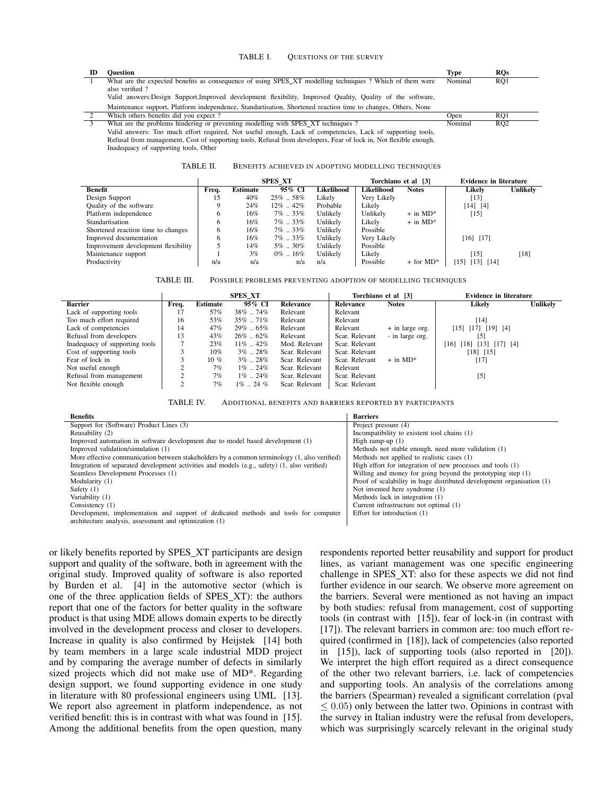#### <span id="page-2-0"></span>TABLE I. QUESTIONS OF THE SURVEY

| ID | Ouestion                                                                                                          | <b>Type</b> | $_{\rm ROS}$    |
|----|-------------------------------------------------------------------------------------------------------------------|-------------|-----------------|
|    | What are the expected benefits as consequence of using SPES XT modelling techniques? Which of them were           | Nominal     | RQ1             |
|    | also verified?                                                                                                    |             |                 |
|    | Valid answers: Design Support, Improved development flexibility, Improved Quality, Quality of the software,       |             |                 |
|    | Maintenance support, Platform independence, Standartisation, Shortened reaction time to changes, Others, None     |             |                 |
|    | Which others benefits did you expect?                                                                             | Open        | RO1             |
|    | What are the problems hindering or preventing modelling with SPES XT techniques ?                                 | Nominal     | RO <sub>2</sub> |
|    | Valid answers: Too much effort required, Not useful enough, Lack of competencies, Lack of supporting tools,       |             |                 |
|    | Refusal from management, Cost of supporting tools, Refusal from developers, Fear of lock in, Not flexible enough, |             |                 |
|    | Inadequacy of supporting tools, Other                                                                             |             |                 |

<span id="page-2-1"></span>TABLE II. BENEFITS ACHIEVED IN ADOPTING MODELLING TECHNIQUES

|                                     | <b>SPES XT</b> |                 |               |            | Torchiano et al [3] |                         | <b>Evidence in literature</b> |          |
|-------------------------------------|----------------|-----------------|---------------|------------|---------------------|-------------------------|-------------------------------|----------|
| <b>Benefit</b>                      | Freq.          | <b>Estimate</b> | 95% CI        | Likelihood | Likelihood          | <b>Notes</b>            | Likelv                        | Unlikely |
| Design Support                      | 15             | 40%             | $25\%$ 58%    | Likely     | Very Likely         |                         | $[13]$                        |          |
| Quality of the software             |                | 24%             | $12\%$ $42\%$ | Probable   | Likely              |                         | $[14]$ $[4]$                  |          |
| Platform independence               | O              | 16%             | $7\%$ 33%     | Unlikely   | Unlikely            | $+$ in MD <sup>*</sup>  | [15]                          |          |
| Standartisation                     | 6              | 16%             | $7\%$ 33%     | Unlikely   | Likely              | $+$ in MD <sup>*</sup>  |                               |          |
| Shortened reaction time to changes  | 6              | 16%             | $7\%$ 33%     | Unlikely   | Possible            |                         |                               |          |
| Improved documentation              | 6              | 16%             | $7\%$ 33%     | Unlikely   | Very Likely         |                         | $[16]$ $[17]$                 |          |
| Improvement development flexibility |                | 14%             | $5\%$ $30\%$  | Unlikely   | Possible            |                         |                               |          |
| Maintenance support                 |                | 3%              | $0\%$ 16%     | Unlikely   | Likely              |                         | [15]                          | [18]     |
| Productivity                        | n/a            | n/a             | n/a           | n/a        | Possible            | $+$ for MD <sup>*</sup> | [13] [14]<br>151              |          |

<span id="page-2-2"></span>

|                                | <b>SPES XT</b> |                 |               |                  | Torchiano et al [3] |                        | <b>Evidence in literature</b>      |          |
|--------------------------------|----------------|-----------------|---------------|------------------|---------------------|------------------------|------------------------------------|----------|
| <b>Barrier</b>                 | Freq.          | <b>Estimate</b> | 95% CI        | <b>Relevance</b> | Relevance           | <b>Notes</b>           | Likelv                             | Unlikely |
| Lack of supporting tools       |                | 57%             | $38\%$ 74%    | Relevant         | Relevant            |                        |                                    |          |
| Too much effort required       | 16             | 53%             | $35\%$ $71\%$ | Relevant         | Relevant            |                        | [14]                               |          |
| Lack of competencies           | 14             | 47%             | $29\%$ . 65%  | Relevant         | Relevant            | + in large org.        | $[15]$ $[17]$ $[19]$ $[4]$         |          |
| Refusal from developers        | 13             | 43%             | $26\%$ 62\%   | Relevant         | Scar. Relevant      | - in large org.        | $[5]$                              |          |
| Inadequacy of supporting tools |                | 23%             | $11\%$ . 42\% | Mod. Relevant    | Scar. Relevant      |                        | $[18]$ $[13]$ $[17]$ $[4]$<br>[16] |          |
| Cost of supporting tools       |                | $10\%$          | $3\%$ . 28%   | Scar. Relevant   | Scar. Relevant      |                        | $[18]$ $[15]$                      |          |
| Fear of lock in                |                | $10 \%$         | $3\%$ . 28%   | Scar. Relevant   | Scar. Relevant      | $+$ in MD <sup>*</sup> | [17]                               |          |
| Not useful enough              |                | 7%              | $1\%$ 24\%    | Scar. Relevant   | Relevant            |                        |                                    |          |
| Refusal from management        |                | 7%              | $1\%$ 24\%    | Scar. Relevant   | Scar. Relevant      |                        | $[5]$                              |          |
| Not flexible enough            |                | 7%              | $1\%$ 24 $\%$ | Scar. Relevant   | Scar. Relevant      |                        |                                    |          |

<span id="page-2-3"></span>TABLE IV. ADDITIONAL BENEFITS AND BARRIERS REPORTED BY PARTICIPANTS

| <b>Benefits</b>                                                                              | <b>Barriers</b>                                                       |
|----------------------------------------------------------------------------------------------|-----------------------------------------------------------------------|
| Support for (Software) Product Lines (3)                                                     | Project pressure (4)                                                  |
| Reusability (2)                                                                              | Incompatibility to existent tool chains (1)                           |
| Improved automation in software development due to model based development (1)               | High ramp-up $(1)$                                                    |
| Improved validation/simulation (1)                                                           | Methods not stable enough, need more validation (1)                   |
| More effective communication between stakeholders by a common terminology (1, also verified) | Methods not applied to realistic cases (1)                            |
| Integration of separated development activities and models (e.g., safety) (1, also verified) | High effort for integration of new processes and tools (1)            |
| Seamless Development Processes (1)                                                           | Willing and money for going beyond the prototyping step (1)           |
| Modularity (1)                                                                               | Proof of scalability in huge distributed development organisation (1) |
| Safety $(1)$                                                                                 | Not invented here syndrome (1)                                        |
| Variability (1)                                                                              | Methods lack in integration (1)                                       |
| Consistency $(1)$                                                                            | Current infrastructure not optimal (1)                                |
| Development, implementation and support of dedicated methods and tools for computer          | Effort for introduction (1)                                           |
| architecture analysis, assessment and optimization (1)                                       |                                                                       |

or likely benefits reported by SPES\_XT participants are design support and quality of the software, both in agreement with the original study. Improved quality of software is also reported by Burden et al. [\[4\]](#page-3-3) in the automotive sector (which is one of the three application fields of SPES\_XT): the authors report that one of the factors for better quality in the software product is that using MDE allows domain experts to be directly involved in the development process and closer to developers. Increase in quality is also confirmed by Heijstek [\[14\]](#page-3-15) both by team members in a large scale industrial MDD project and by comparing the average number of defects in similarly sized projects which did not make use of MD\*. Regarding design support, we found supporting evidence in one study in literature with 80 professional engineers using UML [\[13\]](#page-3-14). We report also agreement in platform independence, as not verified benefit: this is in contrast with what was found in [\[15\]](#page-3-16). Among the additional benefits from the open question, many

respondents reported better reusability and support for product lines, as variant management was one specific engineering challenge in SPES XT: also for these aspects we did not find further evidence in our search. We observe more agreement on the barriers. Several were mentioned as not having an impact by both studies: refusal from management, cost of supporting tools (in contrast with [\[15\]](#page-3-16)), fear of lock-in (in contrast with [\[17\]](#page-3-18)). The relevant barriers in common are: too much effort required (confirmed in [\[18\]](#page-3-19)), lack of competencies (also reported in [\[15\]](#page-3-16)), lack of supporting tools (also reported in [\[20\]](#page-3-21)). We interpret the high effort required as a direct consequence of the other two relevant barriers, i.e. lack of competencies and supporting tools. An analysis of the correlations among the barriers (Spearman) revealed a significant correlation (pval  $\leq 0.05$ ) only between the latter two. Opinions in contrast with the survey in Italian industry were the refusal from developers, which was surprisingly scarcely relevant in the original study